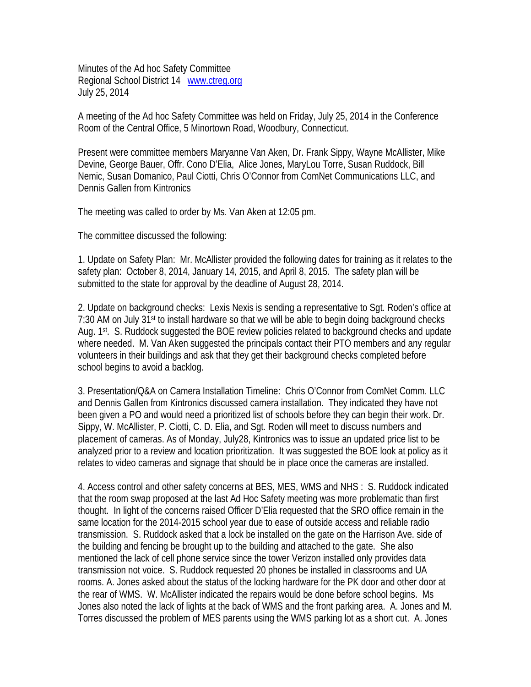Minutes of the Ad hoc Safety Committee Regional School District 14 www.ctreg.org July 25, 2014

A meeting of the Ad hoc Safety Committee was held on Friday, July 25, 2014 in the Conference Room of the Central Office, 5 Minortown Road, Woodbury, Connecticut.

Present were committee members Maryanne Van Aken, Dr. Frank Sippy, Wayne McAllister, Mike Devine, George Bauer, Offr. Cono D'Elia, Alice Jones, MaryLou Torre, Susan Ruddock, Bill Nemic, Susan Domanico, Paul Ciotti, Chris O'Connor from ComNet Communications LLC, and Dennis Gallen from Kintronics

The meeting was called to order by Ms. Van Aken at 12:05 pm.

The committee discussed the following:

1. Update on Safety Plan: Mr. McAllister provided the following dates for training as it relates to the safety plan: October 8, 2014, January 14, 2015, and April 8, 2015. The safety plan will be submitted to the state for approval by the deadline of August 28, 2014.

2. Update on background checks: Lexis Nexis is sending a representative to Sgt. Roden's office at 7;30 AM on July 31<sup>st</sup> to install hardware so that we will be able to begin doing background checks Aug. 1<sup>st</sup>. S. Ruddock suggested the BOE review policies related to background checks and update where needed. M. Van Aken suggested the principals contact their PTO members and any regular volunteers in their buildings and ask that they get their background checks completed before school begins to avoid a backlog.

3. Presentation/Q&A on Camera Installation Timeline: Chris O'Connor from ComNet Comm. LLC and Dennis Gallen from Kintronics discussed camera installation. They indicated they have not been given a PO and would need a prioritized list of schools before they can begin their work. Dr. Sippy, W. McAllister, P. Ciotti, C. D. Elia, and Sgt. Roden will meet to discuss numbers and placement of cameras. As of Monday, July28, Kintronics was to issue an updated price list to be analyzed prior to a review and location prioritization. It was suggested the BOE look at policy as it relates to video cameras and signage that should be in place once the cameras are installed.

4. Access control and other safety concerns at BES, MES, WMS and NHS : S. Ruddock indicated that the room swap proposed at the last Ad Hoc Safety meeting was more problematic than first thought. In light of the concerns raised Officer D'Elia requested that the SRO office remain in the same location for the 2014-2015 school year due to ease of outside access and reliable radio transmission. S. Ruddock asked that a lock be installed on the gate on the Harrison Ave. side of the building and fencing be brought up to the building and attached to the gate. She also mentioned the lack of cell phone service since the tower Verizon installed only provides data transmission not voice. S. Ruddock requested 20 phones be installed in classrooms and UA rooms. A. Jones asked about the status of the locking hardware for the PK door and other door at the rear of WMS. W. McAllister indicated the repairs would be done before school begins. Ms Jones also noted the lack of lights at the back of WMS and the front parking area. A. Jones and M. Torres discussed the problem of MES parents using the WMS parking lot as a short cut. A. Jones